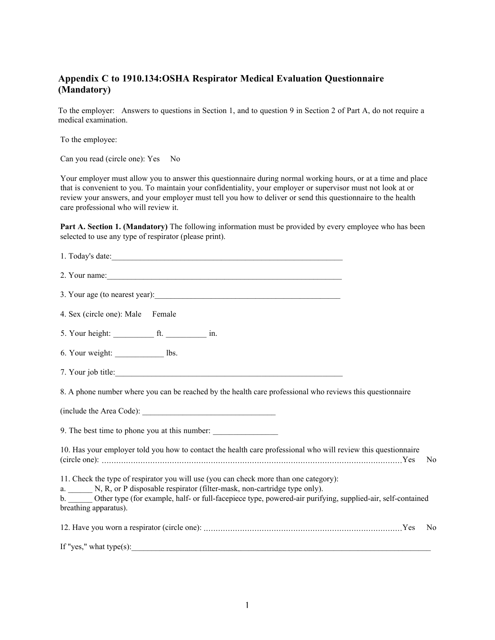## **Appendix C to 1910.134:OSHA Respirator Medical Evaluation Questionnaire (Mandatory)**

To the employer: Answers to questions in Section 1, and to question 9 in Section 2 of Part A, do not require a medical examination.

To the employee:

Can you read (circle one): Yes No

Your employer must allow you to answer this questionnaire during normal working hours, or at a time and place that is convenient to you. To maintain your confidentiality, your employer or supervisor must not look at or review your answers, and your employer must tell you how to deliver or send this questionnaire to the health care professional who will review it.

**Part A. Section 1. (Mandatory)** The following information must be provided by every employee who has been selected to use any type of respirator (please print).

| 2. Your name:                                                                                                                                                                                                                                                                                                          |
|------------------------------------------------------------------------------------------------------------------------------------------------------------------------------------------------------------------------------------------------------------------------------------------------------------------------|
| 3. Your age (to nearest year):                                                                                                                                                                                                                                                                                         |
| 4. Sex (circle one): Male Female                                                                                                                                                                                                                                                                                       |
| 5. Your height: $f_{\text{max}}$ ft. $f_{\text{max}}$ in.                                                                                                                                                                                                                                                              |
|                                                                                                                                                                                                                                                                                                                        |
| 7. Your job title:                                                                                                                                                                                                                                                                                                     |
| 8. A phone number where you can be reached by the health care professional who reviews this questionnaire                                                                                                                                                                                                              |
|                                                                                                                                                                                                                                                                                                                        |
| 9. The best time to phone you at this number:                                                                                                                                                                                                                                                                          |
| 10. Has your employer told you how to contact the health care professional who will review this questionnaire<br>No                                                                                                                                                                                                    |
| 11. Check the type of respirator you will use (you can check more than one category):<br>a. _______ N, R, or P disposable respirator (filter-mask, non-cartridge type only).<br>b. Other type (for example, half- or full-facepiece type, powered-air purifying, supplied-air, self-contained<br>breathing apparatus). |
| No                                                                                                                                                                                                                                                                                                                     |
| If "yes," what type(s): $\frac{1}{2}$                                                                                                                                                                                                                                                                                  |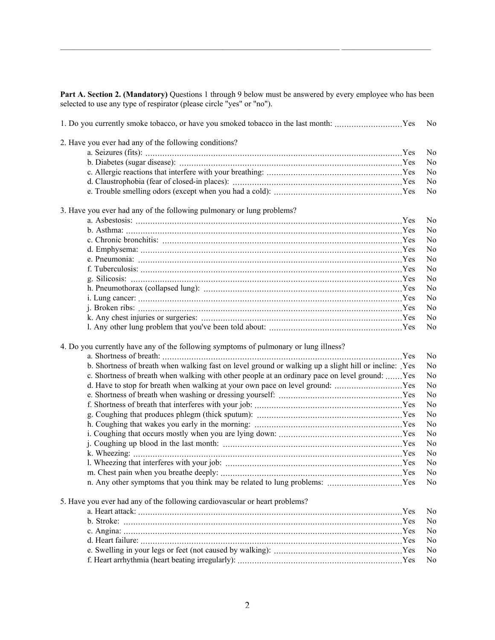**Part A. Section 2. (Mandatory)** Questions 1 through 9 below must be answered by every employee who has been selected to use any type of respirator (please circle "yes" or "no").

 $\_$  ,  $\_$  ,  $\_$  ,  $\_$  ,  $\_$  ,  $\_$  ,  $\_$  ,  $\_$  ,  $\_$  ,  $\_$  ,  $\_$  ,  $\_$  ,  $\_$  ,  $\_$  ,  $\_$  ,  $\_$  ,  $\_$  ,  $\_$  ,  $\_$  ,  $\_$  ,  $\_$  ,  $\_$  ,  $\_$  ,  $\_$  ,  $\_$  ,  $\_$  ,  $\_$  ,  $\_$  ,  $\_$  ,  $\_$  ,  $\_$  ,  $\_$  ,  $\_$  ,  $\_$  ,  $\_$  ,  $\_$  ,  $\_$  ,

| 2. Have you ever had any of the following conditions?                                                |  |
|------------------------------------------------------------------------------------------------------|--|
|                                                                                                      |  |
|                                                                                                      |  |
|                                                                                                      |  |
|                                                                                                      |  |
|                                                                                                      |  |
| 3. Have you ever had any of the following pulmonary or lung problems?                                |  |
|                                                                                                      |  |
|                                                                                                      |  |
|                                                                                                      |  |
|                                                                                                      |  |
|                                                                                                      |  |
|                                                                                                      |  |
|                                                                                                      |  |
|                                                                                                      |  |
|                                                                                                      |  |
|                                                                                                      |  |
|                                                                                                      |  |
|                                                                                                      |  |
| 4. Do you currently have any of the following symptoms of pulmonary or lung illness?                 |  |
|                                                                                                      |  |
| b. Shortness of breath when walking fast on level ground or walking up a slight hill or incline: Yes |  |
| c. Shortness of breath when walking with other people at an ordinary pace on level ground:  Yes      |  |
|                                                                                                      |  |
|                                                                                                      |  |
|                                                                                                      |  |
|                                                                                                      |  |
|                                                                                                      |  |
|                                                                                                      |  |
|                                                                                                      |  |
|                                                                                                      |  |
|                                                                                                      |  |
|                                                                                                      |  |
|                                                                                                      |  |

5. Have you ever had any of the following cardiovascular or heart problems?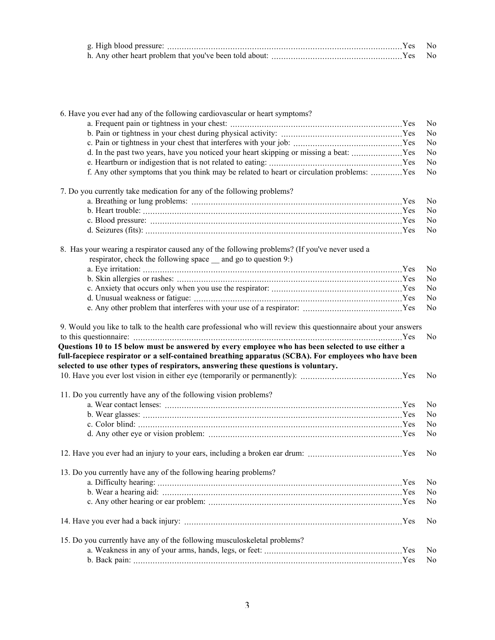| Yes No |  |
|--------|--|
| Yes No |  |

| 6. Have you ever had any of the following cardiovascular or heart symptoms?                                                                                                                                                                                                                       |                                  |
|---------------------------------------------------------------------------------------------------------------------------------------------------------------------------------------------------------------------------------------------------------------------------------------------------|----------------------------------|
|                                                                                                                                                                                                                                                                                                   | N <sub>0</sub>                   |
|                                                                                                                                                                                                                                                                                                   | No                               |
|                                                                                                                                                                                                                                                                                                   | No                               |
|                                                                                                                                                                                                                                                                                                   | No                               |
|                                                                                                                                                                                                                                                                                                   | No                               |
| f. Any other symptoms that you think may be related to heart or circulation problems:  Yes                                                                                                                                                                                                        | N <sub>0</sub>                   |
| 7. Do you currently take medication for any of the following problems?                                                                                                                                                                                                                            |                                  |
|                                                                                                                                                                                                                                                                                                   | N <sub>0</sub>                   |
|                                                                                                                                                                                                                                                                                                   | No                               |
|                                                                                                                                                                                                                                                                                                   | N <sub>0</sub>                   |
|                                                                                                                                                                                                                                                                                                   | N <sub>0</sub>                   |
| 8. Has your wearing a respirator caused any of the following problems? (If you've never used a<br>respirator, check the following space _ and go to question 9:)                                                                                                                                  |                                  |
|                                                                                                                                                                                                                                                                                                   | N <sub>0</sub>                   |
|                                                                                                                                                                                                                                                                                                   | N <sub>0</sub>                   |
|                                                                                                                                                                                                                                                                                                   | N <sub>0</sub>                   |
|                                                                                                                                                                                                                                                                                                   | N <sub>0</sub>                   |
|                                                                                                                                                                                                                                                                                                   | N <sub>0</sub>                   |
| Questions 10 to 15 below must be answered by every employee who has been selected to use either a<br>full-facepiece respirator or a self-contained breathing apparatus (SCBA). For employees who have been<br>selected to use other types of respirators, answering these questions is voluntary. | N <sub>0</sub><br>N <sub>0</sub> |
|                                                                                                                                                                                                                                                                                                   |                                  |
| 11. Do you currently have any of the following vision problems?                                                                                                                                                                                                                                   |                                  |
|                                                                                                                                                                                                                                                                                                   | N <sub>0</sub>                   |
|                                                                                                                                                                                                                                                                                                   | No                               |
|                                                                                                                                                                                                                                                                                                   | N <sub>0</sub>                   |
|                                                                                                                                                                                                                                                                                                   | N <sub>0</sub>                   |
|                                                                                                                                                                                                                                                                                                   | N <sub>0</sub>                   |
| 13. Do you currently have any of the following hearing problems?                                                                                                                                                                                                                                  |                                  |
|                                                                                                                                                                                                                                                                                                   | No                               |
|                                                                                                                                                                                                                                                                                                   | No                               |
|                                                                                                                                                                                                                                                                                                   | N <sub>0</sub>                   |
|                                                                                                                                                                                                                                                                                                   |                                  |
|                                                                                                                                                                                                                                                                                                   | N <sub>0</sub>                   |
|                                                                                                                                                                                                                                                                                                   |                                  |
| 15. Do you currently have any of the following musculoskeletal problems?                                                                                                                                                                                                                          | N <sub>0</sub>                   |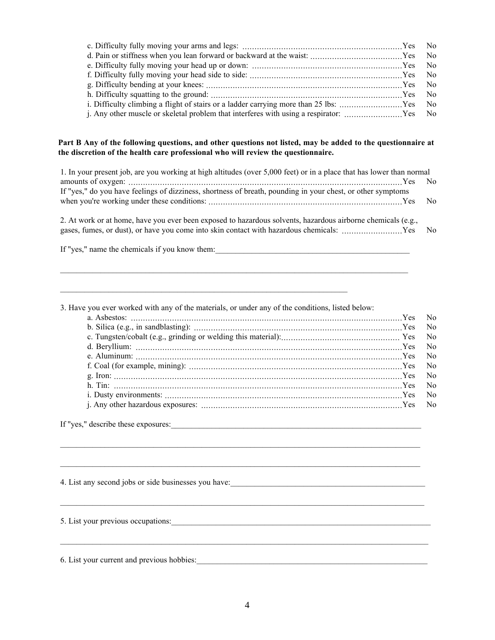| j. Any other muscle or skeletal problem that interferes with using a respirator: Yes No |  |
|-----------------------------------------------------------------------------------------|--|

## **Part B Any of the following questions, and other questions not listed, may be added to the questionnaire at the discretion of the health care professional who will review the questionnaire.**

| 1. In your present job, are you working at high altitudes (over 5,000 feet) or in a place that has lower than normal |  |  |
|----------------------------------------------------------------------------------------------------------------------|--|--|
|                                                                                                                      |  |  |
| If "yes," do you have feelings of dizziness, shortness of breath, pounding in your chest, or other symptoms          |  |  |
|                                                                                                                      |  |  |
|                                                                                                                      |  |  |

2. At work or at home, have you ever been exposed to hazardous solvents, hazardous airborne chemicals (e.g., gases, fumes, or dust), or have you come into skin contact with hazardous chemicals: .........................Yes No

 $\mathcal{L}_\mathcal{L}$  , and the contribution of the contribution of the contribution of the contribution of the contribution of the contribution of the contribution of the contribution of the contribution of the contribution of

If "yes," name the chemicals if you know them:\_\_\_\_\_\_\_\_\_\_\_\_\_\_\_\_\_\_\_\_\_\_\_\_\_\_\_\_\_\_\_\_\_\_\_\_\_\_\_\_\_\_\_\_\_\_\_\_

3. Have you ever worked with any of the materials, or under any of the conditions, listed below:

 $\_$  , and the set of the set of the set of the set of the set of the set of the set of the set of the set of the set of the set of the set of the set of the set of the set of the set of the set of the set of the set of th

 $\mathcal{L}_\mathcal{L} = \{ \mathcal{L}_\mathcal{L} = \{ \mathcal{L}_\mathcal{L} = \{ \mathcal{L}_\mathcal{L} = \{ \mathcal{L}_\mathcal{L} = \{ \mathcal{L}_\mathcal{L} = \{ \mathcal{L}_\mathcal{L} = \{ \mathcal{L}_\mathcal{L} = \{ \mathcal{L}_\mathcal{L} = \{ \mathcal{L}_\mathcal{L} = \{ \mathcal{L}_\mathcal{L} = \{ \mathcal{L}_\mathcal{L} = \{ \mathcal{L}_\mathcal{L} = \{ \mathcal{L}_\mathcal{L} = \{ \mathcal{L}_\mathcal{$ 

 $\mathcal{L}_\mathcal{L}$  , and the set of the set of the set of the set of the set of the set of the set of the set of the set of the set of the set of the set of the set of the set of the set of the set of the set of the set of th

\_\_\_\_\_\_\_\_\_\_\_\_\_\_\_\_\_\_\_\_\_\_\_\_\_\_\_\_\_\_\_\_\_\_\_\_\_\_\_\_\_\_\_\_\_\_\_\_\_\_\_\_\_\_\_\_\_\_\_\_\_\_\_\_\_\_\_\_\_\_\_\_\_\_\_\_\_\_\_\_\_\_\_\_\_\_\_\_\_\_\_

If "yes," describe these exposures:\_\_\_\_\_\_\_\_\_\_\_\_\_\_\_\_\_\_\_\_\_\_\_\_\_\_\_\_\_\_\_\_\_\_\_\_\_\_\_\_\_\_\_\_\_\_\_\_\_\_\_\_\_\_\_\_\_\_\_\_\_\_

4. List any second jobs or side businesses you have:\_\_\_\_\_\_\_\_\_\_\_\_\_\_\_\_\_\_\_\_\_\_\_\_\_\_\_\_\_\_\_\_\_\_\_\_\_\_\_\_\_\_\_\_\_\_\_\_

5. List your previous occupations:

6. List your current and previous hobbies:\_\_\_\_\_\_\_\_\_\_\_\_\_\_\_\_\_\_\_\_\_\_\_\_\_\_\_\_\_\_\_\_\_\_\_\_\_\_\_\_\_\_\_\_\_\_\_\_\_\_\_\_\_\_\_\_\_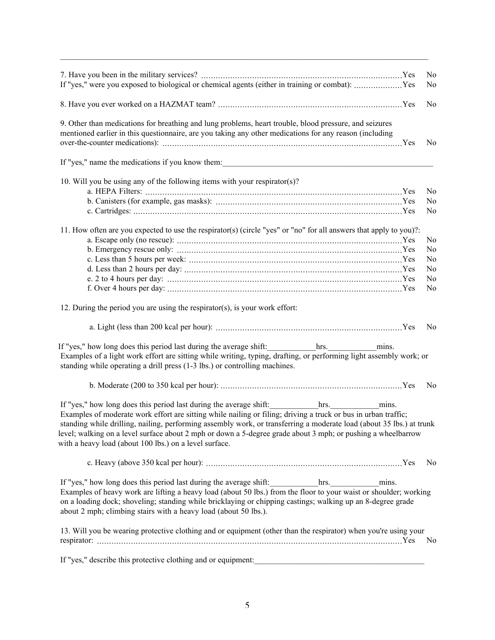|                                                                                                                                                                                                                   | N <sub>0</sub> |
|-------------------------------------------------------------------------------------------------------------------------------------------------------------------------------------------------------------------|----------------|
|                                                                                                                                                                                                                   | No             |
|                                                                                                                                                                                                                   | No             |
| 9. Other than medications for breathing and lung problems, heart trouble, blood pressure, and seizures<br>mentioned earlier in this questionnaire, are you taking any other medications for any reason (including |                |
|                                                                                                                                                                                                                   | No             |
|                                                                                                                                                                                                                   |                |
| 10. Will you be using any of the following items with your respirator(s)?                                                                                                                                         |                |
|                                                                                                                                                                                                                   | N <sub>0</sub> |
|                                                                                                                                                                                                                   | No             |
|                                                                                                                                                                                                                   | No             |
| 11. How often are you expected to use the respirator(s) (circle "yes" or "no" for all answers that apply to you)?:                                                                                                |                |
|                                                                                                                                                                                                                   | N <sub>0</sub> |
|                                                                                                                                                                                                                   | N <sub>0</sub> |
|                                                                                                                                                                                                                   | N <sub>0</sub> |
|                                                                                                                                                                                                                   | No             |
|                                                                                                                                                                                                                   | No             |
|                                                                                                                                                                                                                   | N <sub>0</sub> |
| 12. During the period you are using the respirator(s), is your work effort:                                                                                                                                       |                |
|                                                                                                                                                                                                                   | No             |
| If "yes," how long does this period last during the average shift: hrs. hrs. html                                                                                                                                 |                |
| Examples of a light work effort are sitting while writing, typing, drafting, or performing light assembly work; or                                                                                                |                |
| standing while operating a drill press (1-3 lbs.) or controlling machines.                                                                                                                                        |                |
|                                                                                                                                                                                                                   | No             |
| If "yes," how long does this period last during the average shift: hrs. hrs. hrs. html                                                                                                                            |                |
| Examples of moderate work effort are sitting while nailing or filing; driving a truck or bus in urban traffic;                                                                                                    |                |
| standing while drilling, nailing, performing assembly work, or transferring a moderate load (about 35 lbs.) at trunk                                                                                              |                |
| level; walking on a level surface about 2 mph or down a 5-degree grade about 3 mph; or pushing a wheelbarrow                                                                                                      |                |
| with a heavy load (about 100 lbs.) on a level surface.                                                                                                                                                            |                |
|                                                                                                                                                                                                                   | N <sub>0</sub> |
|                                                                                                                                                                                                                   |                |
| If "yes," how long does this period last during the average shift:<br>hrs.<br>mins.                                                                                                                               |                |
| Examples of heavy work are lifting a heavy load (about 50 lbs.) from the floor to your waist or shoulder; working                                                                                                 |                |
| on a loading dock; shoveling; standing while bricklaying or chipping castings; walking up an 8-degree grade                                                                                                       |                |
| about 2 mph; climbing stairs with a heavy load (about 50 lbs.).                                                                                                                                                   |                |
|                                                                                                                                                                                                                   |                |
| 13. Will you be wearing protective clothing and or equipment (other than the respirator) when you're using your                                                                                                   |                |
|                                                                                                                                                                                                                   | N <sub>0</sub> |
|                                                                                                                                                                                                                   |                |
| If "yes," describe this protective clothing and or equipment:                                                                                                                                                     |                |

\_\_\_\_\_\_\_\_\_\_\_\_\_\_\_\_\_\_\_\_\_\_\_\_\_\_\_\_\_\_\_\_\_\_\_\_\_\_\_\_\_\_\_\_\_\_\_\_\_\_\_\_\_\_\_\_\_\_\_\_\_\_\_\_\_\_\_\_\_\_\_\_\_\_\_\_\_\_\_\_\_\_\_\_\_\_\_\_\_\_\_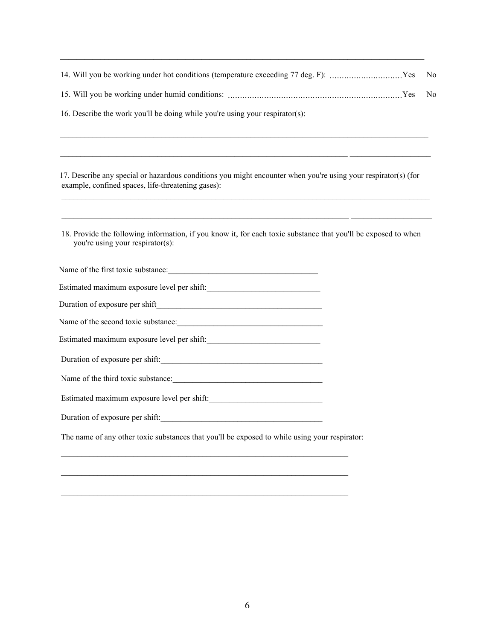\_\_\_\_\_\_\_\_\_\_\_\_\_\_\_\_\_\_\_\_\_\_\_\_\_\_\_\_\_\_\_\_\_\_\_\_\_\_\_\_\_\_\_\_\_\_\_\_\_\_\_\_\_\_\_\_\_\_\_\_\_\_\_\_\_\_\_\_\_\_\_\_\_\_\_\_\_\_\_\_\_\_\_\_\_\_\_\_\_\_

16. Describe the work you'll be doing while you're using your respirator(s):

17. Describe any special or hazardous conditions you might encounter when you're using your respirator(s) (for example, confined spaces, life-threatening gases):

 $\mathcal{L}_\mathcal{L} = \mathcal{L}_\mathcal{L}$ 

 $\mathcal{L}_\mathcal{L} = \mathcal{L}_\mathcal{L}$ 

\_\_\_\_\_\_\_\_\_\_\_\_\_\_\_\_\_\_\_\_\_\_\_\_\_\_\_\_\_\_\_\_\_\_\_\_\_\_\_\_\_\_\_\_\_\_\_\_\_\_\_\_\_\_\_\_\_\_\_\_\_\_\_\_\_\_\_\_\_\_\_\_\_\_\_\_\_\_\_\_\_\_\_\_\_\_\_\_\_\_\_

\_\_\_\_\_\_\_\_\_\_\_\_\_\_\_\_\_\_\_\_\_\_\_\_\_\_\_\_\_\_\_\_\_\_\_\_\_\_\_\_\_\_\_\_\_\_\_\_\_\_\_\_\_\_\_\_\_\_\_\_\_\_\_\_\_\_\_\_\_\_\_ \_\_\_\_\_\_\_\_\_\_\_\_\_\_\_\_\_\_\_\_

18. Provide the following information, if you know it, for each toxic substance that you'll be exposed to when you're using your respirator(s):

| Name of the first toxic substance:                                                            |  |
|-----------------------------------------------------------------------------------------------|--|
|                                                                                               |  |
|                                                                                               |  |
| Name of the second toxic substance:                                                           |  |
|                                                                                               |  |
| Duration of exposure per shift:                                                               |  |
|                                                                                               |  |
| Estimated maximum exposure level per shift:                                                   |  |
| Duration of exposure per shift:                                                               |  |
| The name of any other toxic substances that you'll be exposed to while using your respirator: |  |